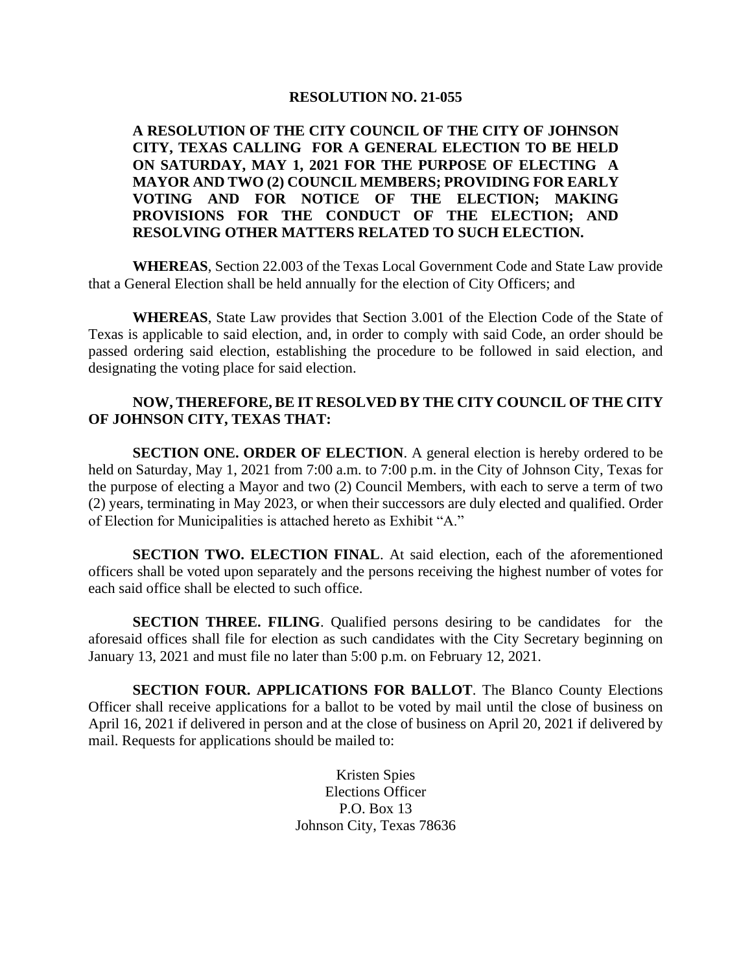#### **RESOLUTION NO. 21-055**

**A RESOLUTION OF THE CITY COUNCIL OF THE CITY OF JOHNSON CITY, TEXAS CALLING FOR A GENERAL ELECTION TO BE HELD ON SATURDAY, MAY 1, 2021 FOR THE PURPOSE OF ELECTING A MAYOR AND TWO (2) COUNCIL MEMBERS; PROVIDING FOR EARLY VOTING AND FOR NOTICE OF THE ELECTION; MAKING PROVISIONS FOR THE CONDUCT OF THE ELECTION; AND RESOLVING OTHER MATTERS RELATED TO SUCH ELECTION.**

**WHEREAS**, Section 22.003 of the Texas Local Government Code and State Law provide that a General Election shall be held annually for the election of City Officers; and

**WHEREAS**, State Law provides that Section 3.001 of the Election Code of the State of Texas is applicable to said election, and, in order to comply with said Code, an order should be passed ordering said election, establishing the procedure to be followed in said election, and designating the voting place for said election.

### **NOW, THEREFORE, BE IT RESOLVED BY THE CITY COUNCIL OF THE CITY OF JOHNSON CITY, TEXAS THAT:**

**SECTION ONE. ORDER OF ELECTION.** A general election is hereby ordered to be held on Saturday, May 1, 2021 from 7:00 a.m. to 7:00 p.m. in the City of Johnson City, Texas for the purpose of electing a Mayor and two (2) Council Members, with each to serve a term of two (2) years, terminating in May 2023, or when their successors are duly elected and qualified. Order of Election for Municipalities is attached hereto as Exhibit "A."

**SECTION TWO. ELECTION FINAL**. At said election, each of the aforementioned officers shall be voted upon separately and the persons receiving the highest number of votes for each said office shall be elected to such office.

**SECTION THREE. FILING.** Qualified persons desiring to be candidates for the aforesaid offices shall file for election as such candidates with the City Secretary beginning on January 13, 2021 and must file no later than 5:00 p.m. on February 12, 2021.

**SECTION FOUR. APPLICATIONS FOR BALLOT**. The Blanco County Elections Officer shall receive applications for a ballot to be voted by mail until the close of business on April 16, 2021 if delivered in person and at the close of business on April 20, 2021 if delivered by mail. Requests for applications should be mailed to:

> Kristen Spies Elections Officer P.O. Box 13 Johnson City, Texas 78636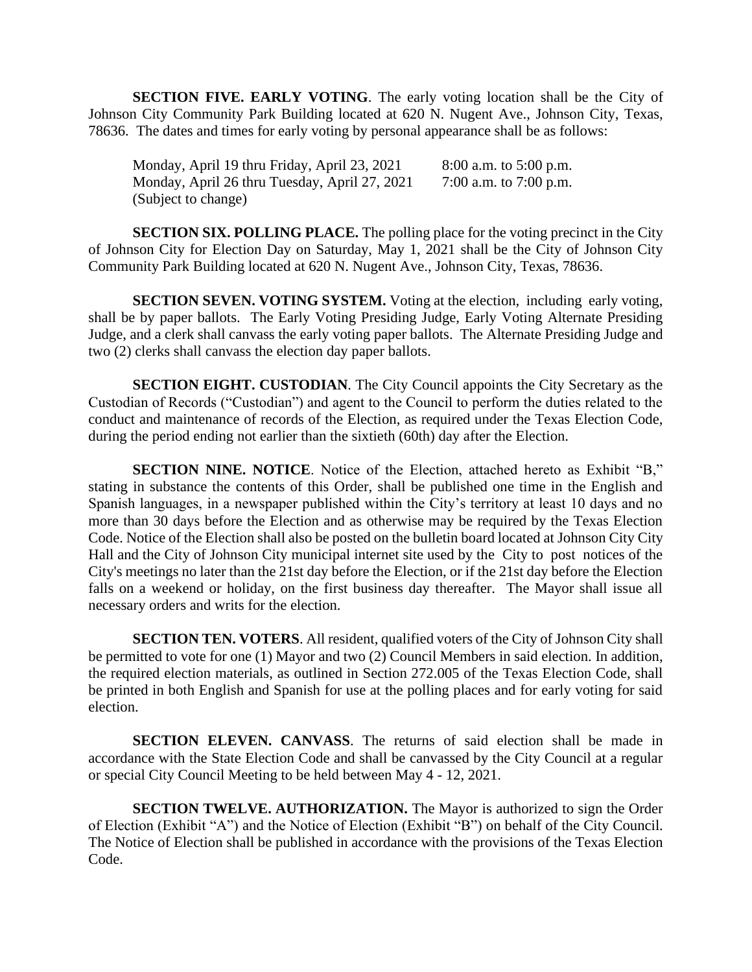**SECTION FIVE. EARLY VOTING**. The early voting location shall be the City of Johnson City Community Park Building located at 620 N. Nugent Ave., Johnson City, Texas, 78636. The dates and times for early voting by personal appearance shall be as follows:

Monday, April 19 thru Friday, April 23, 2021 8:00 a.m. to 5:00 p.m. Monday, April 26 thru Tuesday, April 27, 2021 7:00 a.m. to 7:00 p.m. (Subject to change)

**SECTION SIX. POLLING PLACE.** The polling place for the voting precinct in the City of Johnson City for Election Day on Saturday, May 1, 2021 shall be the City of Johnson City Community Park Building located at 620 N. Nugent Ave., Johnson City, Texas, 78636.

**SECTION SEVEN. VOTING SYSTEM.** Voting at the election, including early voting, shall be by paper ballots. The Early Voting Presiding Judge, Early Voting Alternate Presiding Judge, and a clerk shall canvass the early voting paper ballots. The Alternate Presiding Judge and two (2) clerks shall canvass the election day paper ballots.

**SECTION EIGHT. CUSTODIAN**. The City Council appoints the City Secretary as the Custodian of Records ("Custodian") and agent to the Council to perform the duties related to the conduct and maintenance of records of the Election, as required under the Texas Election Code, during the period ending not earlier than the sixtieth (60th) day after the Election.

**SECTION NINE. NOTICE**. Notice of the Election, attached hereto as Exhibit "B," stating in substance the contents of this Order, shall be published one time in the English and Spanish languages, in a newspaper published within the City's territory at least 10 days and no more than 30 days before the Election and as otherwise may be required by the Texas Election Code. Notice of the Election shall also be posted on the bulletin board located at Johnson City City Hall and the City of Johnson City municipal internet site used by the City to post notices of the City's meetings no later than the 21st day before the Election, or if the 21st day before the Election falls on a weekend or holiday, on the first business day thereafter. The Mayor shall issue all necessary orders and writs for the election.

**SECTION TEN. VOTERS**. All resident, qualified voters of the City of Johnson City shall be permitted to vote for one (1) Mayor and two (2) Council Members in said election. In addition, the required election materials, as outlined in Section 272.005 of the Texas Election Code, shall be printed in both English and Spanish for use at the polling places and for early voting for said election.

**SECTION ELEVEN. CANVASS**. The returns of said election shall be made in accordance with the State Election Code and shall be canvassed by the City Council at a regular or special City Council Meeting to be held between May 4 - 12, 2021.

**SECTION TWELVE. AUTHORIZATION.** The Mayor is authorized to sign the Order of Election (Exhibit "A") and the Notice of Election (Exhibit "B") on behalf of the City Council. The Notice of Election shall be published in accordance with the provisions of the Texas Election Code.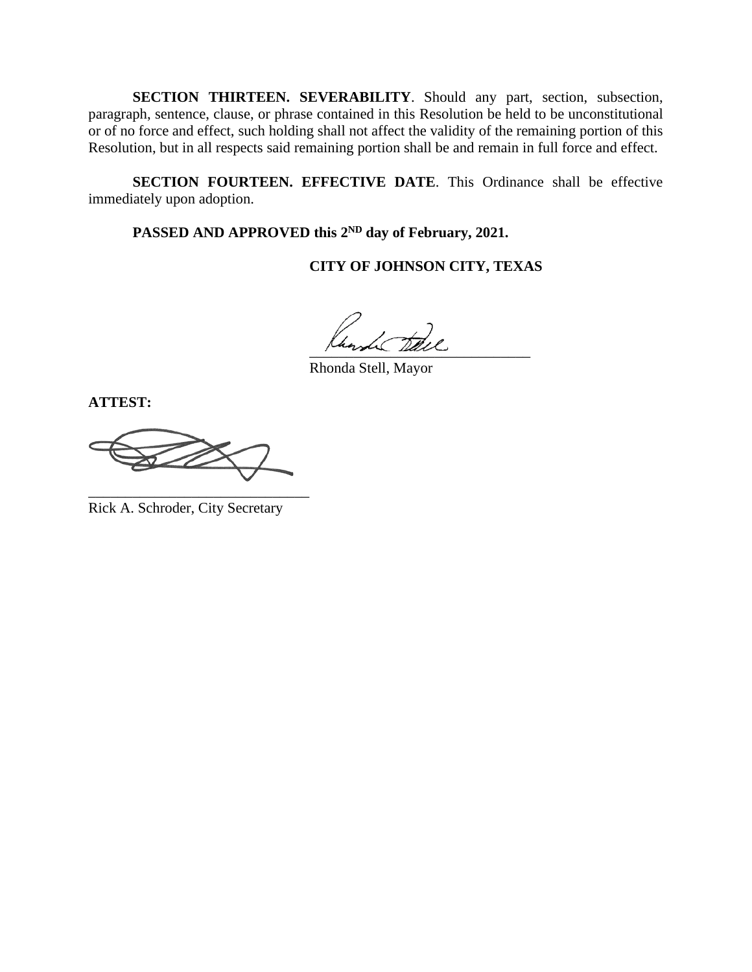**SECTION THIRTEEN. SEVERABILITY**. Should any part, section, subsection, paragraph, sentence, clause, or phrase contained in this Resolution be held to be unconstitutional or of no force and effect, such holding shall not affect the validity of the remaining portion of this Resolution, but in all respects said remaining portion shall be and remain in full force and effect.

**SECTION FOURTEEN. EFFECTIVE DATE**. This Ordinance shall be effective immediately upon adoption.

PASSED AND APPROVED this 2<sup>ND</sup> day of February, 2021.

**CITY OF JOHNSON CITY, TEXAS**

 $\frac{1}{2}$ 

Rhonda Stell, Mayor

**ATTEST:**

D

Rick A. Schroder, City Secretary

\_\_\_\_\_\_\_\_\_\_\_\_\_\_\_\_\_\_\_\_\_\_\_\_\_\_\_\_\_\_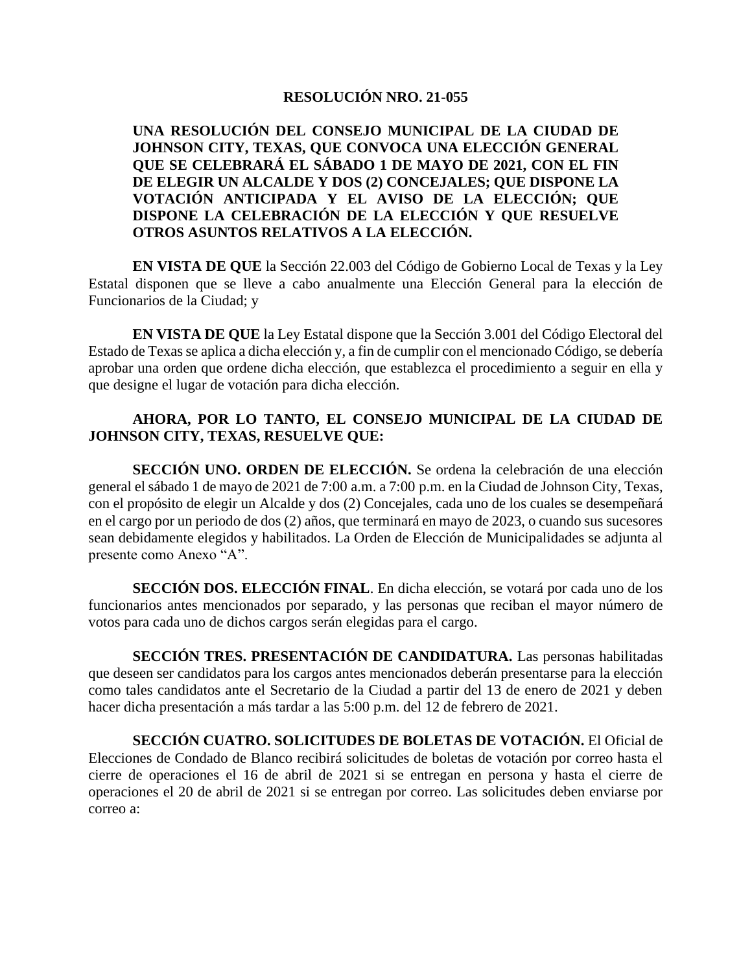## **RESOLUCIÓN NRO. 21-055**

**UNA RESOLUCIÓN DEL CONSEJO MUNICIPAL DE LA CIUDAD DE JOHNSON CITY, TEXAS, QUE CONVOCA UNA ELECCIÓN GENERAL QUE SE CELEBRARÁ EL SÁBADO 1 DE MAYO DE 2021, CON EL FIN DE ELEGIR UN ALCALDE Y DOS (2) CONCEJALES; QUE DISPONE LA VOTACIÓN ANTICIPADA Y EL AVISO DE LA ELECCIÓN; QUE DISPONE LA CELEBRACIÓN DE LA ELECCIÓN Y QUE RESUELVE OTROS ASUNTOS RELATIVOS A LA ELECCIÓN.**

**EN VISTA DE QUE** la Sección 22.003 del Código de Gobierno Local de Texas y la Ley Estatal disponen que se lleve a cabo anualmente una Elección General para la elección de Funcionarios de la Ciudad; y

**EN VISTA DE QUE** la Ley Estatal dispone que la Sección 3.001 del Código Electoral del Estado de Texas se aplica a dicha elección y, a fin de cumplir con el mencionado Código, se debería aprobar una orden que ordene dicha elección, que establezca el procedimiento a seguir en ella y que designe el lugar de votación para dicha elección.

## **AHORA, POR LO TANTO, EL CONSEJO MUNICIPAL DE LA CIUDAD DE JOHNSON CITY, TEXAS, RESUELVE QUE:**

**SECCIÓN UNO. ORDEN DE ELECCIÓN.** Se ordena la celebración de una elección general el sábado 1 de mayo de 2021 de 7:00 a.m. a 7:00 p.m. en la Ciudad de Johnson City, Texas, con el propósito de elegir un Alcalde y dos (2) Concejales, cada uno de los cuales se desempeñará en el cargo por un periodo de dos (2) años, que terminará en mayo de 2023, o cuando sus sucesores sean debidamente elegidos y habilitados. La Orden de Elección de Municipalidades se adjunta al presente como Anexo "A".

**SECCIÓN DOS. ELECCIÓN FINAL**. En dicha elección, se votará por cada uno de los funcionarios antes mencionados por separado, y las personas que reciban el mayor número de votos para cada uno de dichos cargos serán elegidas para el cargo.

**SECCIÓN TRES. PRESENTACIÓN DE CANDIDATURA.** Las personas habilitadas que deseen ser candidatos para los cargos antes mencionados deberán presentarse para la elección como tales candidatos ante el Secretario de la Ciudad a partir del 13 de enero de 2021 y deben hacer dicha presentación a más tardar a las 5:00 p.m. del 12 de febrero de 2021.

**SECCIÓN CUATRO. SOLICITUDES DE BOLETAS DE VOTACIÓN.** El Oficial de Elecciones de Condado de Blanco recibirá solicitudes de boletas de votación por correo hasta el cierre de operaciones el 16 de abril de 2021 si se entregan en persona y hasta el cierre de operaciones el 20 de abril de 2021 si se entregan por correo. Las solicitudes deben enviarse por correo a: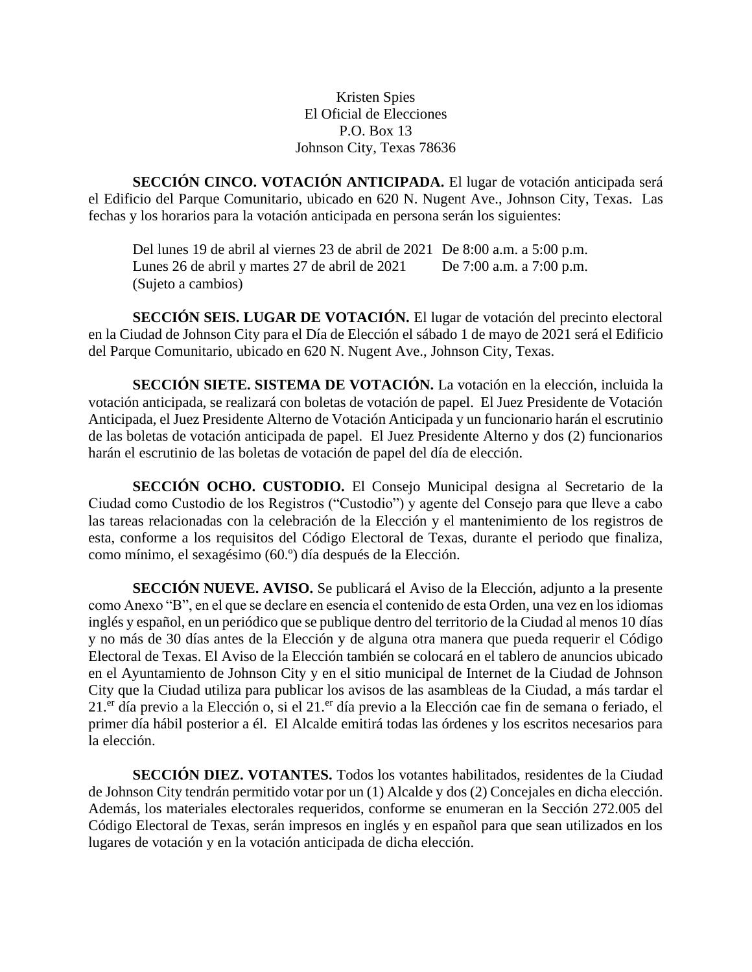Kristen Spies El Oficial de Elecciones P.O. Box 13 Johnson City, Texas 78636

**SECCIÓN CINCO. VOTACIÓN ANTICIPADA.** El lugar de votación anticipada será el Edificio del Parque Comunitario, ubicado en 620 N. Nugent Ave., Johnson City, Texas. Las fechas y los horarios para la votación anticipada en persona serán los siguientes:

Del lunes 19 de abril al viernes 23 de abril de 2021 De 8:00 a.m. a 5:00 p.m. Lunes 26 de abril y martes 27 de abril de 2021 De 7:00 a.m. a 7:00 p.m. (Sujeto a cambios)

**SECCIÓN SEIS. LUGAR DE VOTACIÓN.** El lugar de votación del precinto electoral en la Ciudad de Johnson City para el Día de Elección el sábado 1 de mayo de 2021 será el Edificio del Parque Comunitario, ubicado en 620 N. Nugent Ave., Johnson City, Texas.

**SECCIÓN SIETE. SISTEMA DE VOTACIÓN.** La votación en la elección, incluida la votación anticipada, se realizará con boletas de votación de papel. El Juez Presidente de Votación Anticipada, el Juez Presidente Alterno de Votación Anticipada y un funcionario harán el escrutinio de las boletas de votación anticipada de papel. El Juez Presidente Alterno y dos (2) funcionarios harán el escrutinio de las boletas de votación de papel del día de elección.

**SECCIÓN OCHO. CUSTODIO.** El Consejo Municipal designa al Secretario de la Ciudad como Custodio de los Registros ("Custodio") y agente del Consejo para que lleve a cabo las tareas relacionadas con la celebración de la Elección y el mantenimiento de los registros de esta, conforme a los requisitos del Código Electoral de Texas, durante el periodo que finaliza, como mínimo, el sexagésimo (60.º) día después de la Elección.

**SECCIÓN NUEVE. AVISO.** Se publicará el Aviso de la Elección, adjunto a la presente como Anexo "B", en el que se declare en esencia el contenido de esta Orden, una vez en los idiomas inglés y español, en un periódico que se publique dentro del territorio de la Ciudad al menos 10 días y no más de 30 días antes de la Elección y de alguna otra manera que pueda requerir el Código Electoral de Texas. El Aviso de la Elección también se colocará en el tablero de anuncios ubicado en el Ayuntamiento de Johnson City y en el sitio municipal de Internet de la Ciudad de Johnson City que la Ciudad utiliza para publicar los avisos de las asambleas de la Ciudad, a más tardar el 21.<sup>er</sup> día previo a la Elección o, si el 21.<sup>er</sup> día previo a la Elección cae fin de semana o feriado, el primer día hábil posterior a él. El Alcalde emitirá todas las órdenes y los escritos necesarios para la elección.

**SECCIÓN DIEZ. VOTANTES.** Todos los votantes habilitados, residentes de la Ciudad de Johnson City tendrán permitido votar por un (1) Alcalde y dos (2) Concejales en dicha elección. Además, los materiales electorales requeridos, conforme se enumeran en la Sección 272.005 del Código Electoral de Texas, serán impresos en inglés y en español para que sean utilizados en los lugares de votación y en la votación anticipada de dicha elección.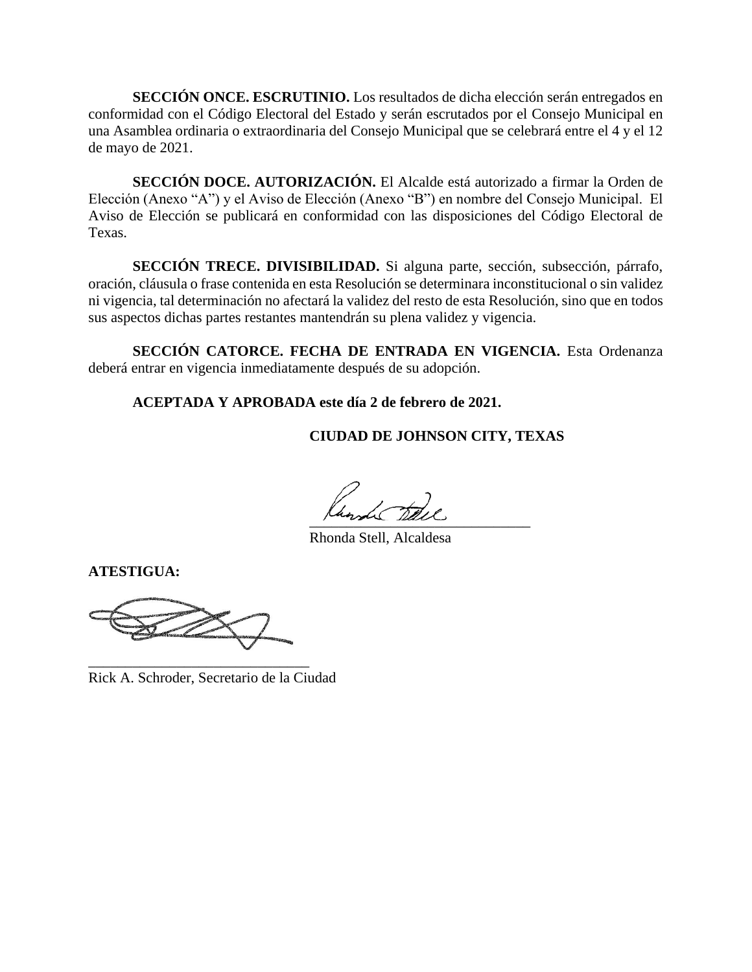**SECCIÓN ONCE. ESCRUTINIO.** Los resultados de dicha elección serán entregados en conformidad con el Código Electoral del Estado y serán escrutados por el Consejo Municipal en una Asamblea ordinaria o extraordinaria del Consejo Municipal que se celebrará entre el 4 y el 12 de mayo de 2021.

**SECCIÓN DOCE. AUTORIZACIÓN.** El Alcalde está autorizado a firmar la Orden de Elección (Anexo "A") y el Aviso de Elección (Anexo "B") en nombre del Consejo Municipal. El Aviso de Elección se publicará en conformidad con las disposiciones del Código Electoral de Texas.

**SECCIÓN TRECE. DIVISIBILIDAD.** Si alguna parte, sección, subsección, párrafo, oración, cláusula o frase contenida en esta Resolución se determinara inconstitucional o sin validez ni vigencia, tal determinación no afectará la validez del resto de esta Resolución, sino que en todos sus aspectos dichas partes restantes mantendrán su plena validez y vigencia.

**SECCIÓN CATORCE. FECHA DE ENTRADA EN VIGENCIA.** Esta Ordenanza deberá entrar en vigencia inmediatamente después de su adopción.

**ACEPTADA Y APROBADA este día 2 de febrero de 2021.**

**CIUDAD DE JOHNSON CITY, TEXAS**

 $\frac{1}{2}$ 

Rhonda Stell, Alcaldesa

**ATESTIGUA:**

\_\_\_\_\_\_\_\_\_\_\_\_\_\_\_\_\_\_\_\_\_\_\_\_\_\_\_\_\_\_

Rick A. Schroder, Secretario de la Ciudad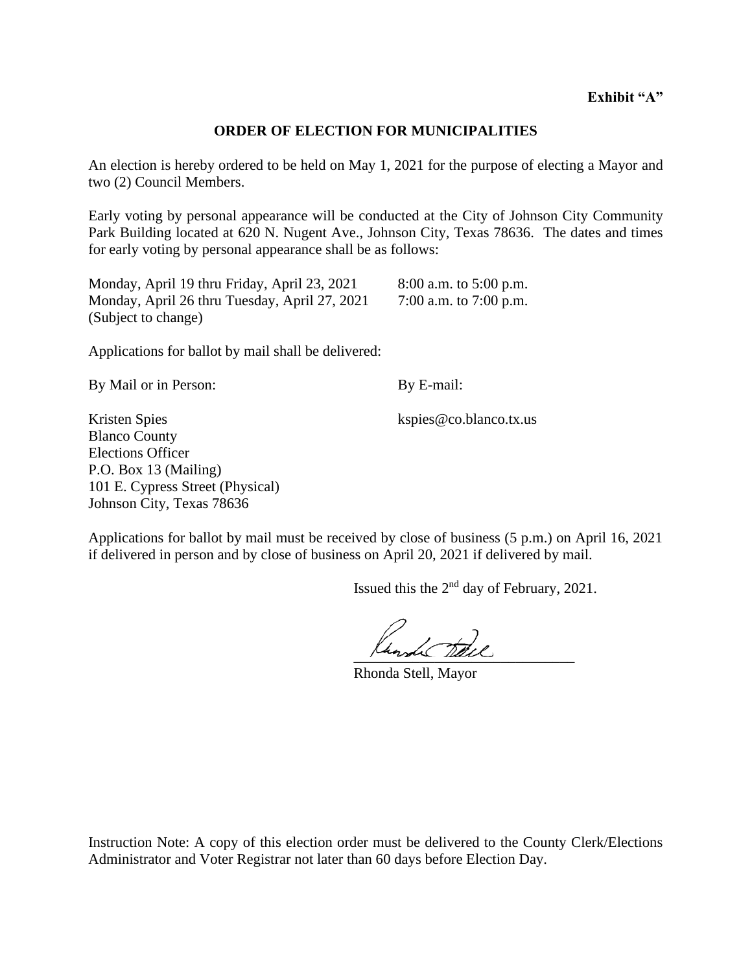#### **ORDER OF ELECTION FOR MUNICIPALITIES**

An election is hereby ordered to be held on May 1, 2021 for the purpose of electing a Mayor and two (2) Council Members.

Early voting by personal appearance will be conducted at the City of Johnson City Community Park Building located at 620 N. Nugent Ave., Johnson City, Texas 78636. The dates and times for early voting by personal appearance shall be as follows:

| Monday, April 19 thru Friday, April 23, 2021  | $8:00$ a.m. to 5:00 p.m. |
|-----------------------------------------------|--------------------------|
| Monday, April 26 thru Tuesday, April 27, 2021 | 7:00 a.m. to 7:00 p.m.   |
| (Subject to change)                           |                          |

Applications for ballot by mail shall be delivered:

By Mail or in Person: By E-mail:

Kristen Spies kspies @co.blanco.tx.us Blanco County Elections Officer P.O. Box 13 (Mailing) 101 E. Cypress Street (Physical) Johnson City, Texas 78636

Applications for ballot by mail must be received by close of business (5 p.m.) on April 16, 2021 if delivered in person and by close of business on April 20, 2021 if delivered by mail.

Issued this the  $2<sup>nd</sup>$  day of February, 2021.

 $\mu$ unde  $\mu$ 

Rhonda Stell, Mayor

Instruction Note: A copy of this election order must be delivered to the County Clerk/Elections Administrator and Voter Registrar not later than 60 days before Election Day.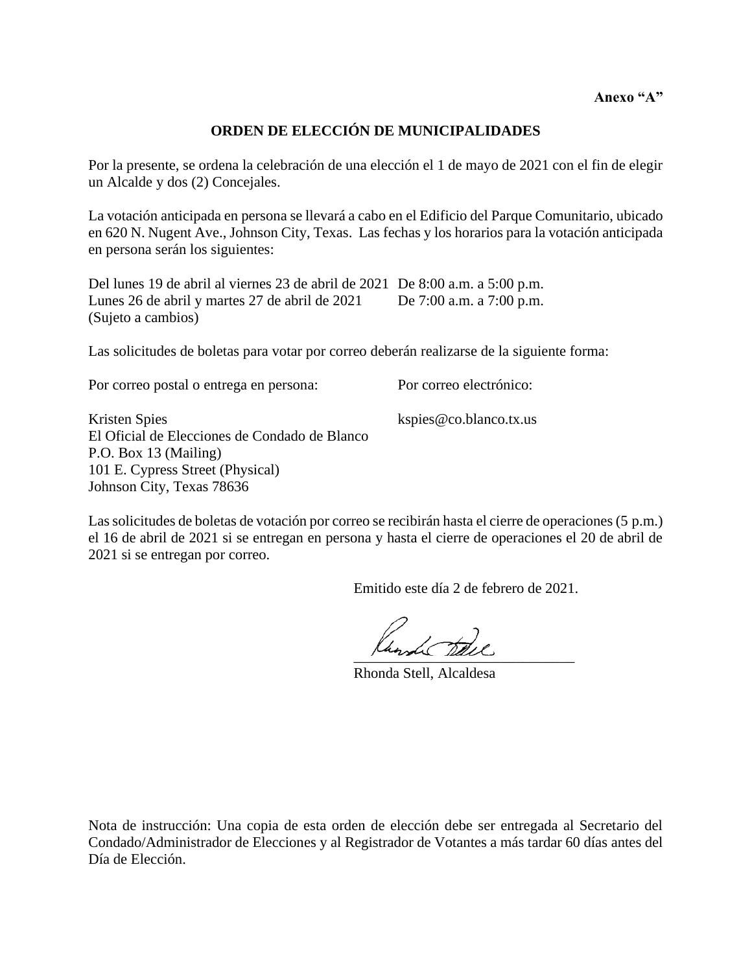**Anexo "A"**

# **ORDEN DE ELECCIÓN DE MUNICIPALIDADES**

Por la presente, se ordena la celebración de una elección el 1 de mayo de 2021 con el fin de elegir un Alcalde y dos (2) Concejales.

La votación anticipada en persona se llevará a cabo en el Edificio del Parque Comunitario, ubicado en 620 N. Nugent Ave., Johnson City, Texas. Las fechas y los horarios para la votación anticipada en persona serán los siguientes:

Del lunes 19 de abril al viernes 23 de abril de 2021 De 8:00 a.m. a 5:00 p.m. Lunes 26 de abril y martes 27 de abril de 2021 De 7:00 a.m. a 7:00 p.m. (Sujeto a cambios)

Las solicitudes de boletas para votar por correo deberán realizarse de la siguiente forma:

Por correo postal o entrega en persona: Por correo electrónico:

Kristen Spies kspies @co.blanco.tx.us El Oficial de Elecciones de Condado de Blanco P.O. Box 13 (Mailing) 101 E. Cypress Street (Physical) Johnson City, Texas 78636

Las solicitudes de boletas de votación por correo se recibirán hasta el cierre de operaciones (5 p.m.) el 16 de abril de 2021 si se entregan en persona y hasta el cierre de operaciones el 20 de abril de 2021 si se entregan por correo.

Emitido este día 2 de febrero de 2021.

 $\frac{1}{2}$ 

Rhonda Stell, Alcaldesa

Nota de instrucción: Una copia de esta orden de elección debe ser entregada al Secretario del Condado/Administrador de Elecciones y al Registrador de Votantes a más tardar 60 días antes del Día de Elección.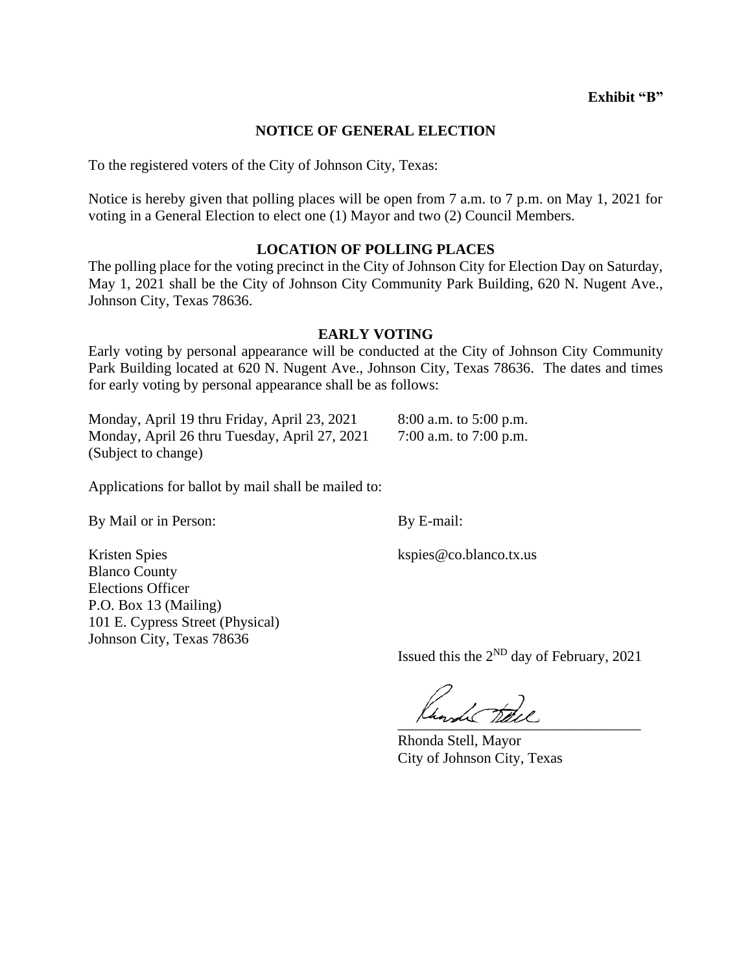## **NOTICE OF GENERAL ELECTION**

To the registered voters of the City of Johnson City, Texas:

Notice is hereby given that polling places will be open from 7 a.m. to 7 p.m. on May 1, 2021 for voting in a General Election to elect one (1) Mayor and two (2) Council Members.

### **LOCATION OF POLLING PLACES**

The polling place for the voting precinct in the City of Johnson City for Election Day on Saturday, May 1, 2021 shall be the City of Johnson City Community Park Building, 620 N. Nugent Ave., Johnson City, Texas 78636.

#### **EARLY VOTING**

Early voting by personal appearance will be conducted at the City of Johnson City Community Park Building located at 620 N. Nugent Ave., Johnson City, Texas 78636. The dates and times for early voting by personal appearance shall be as follows:

Monday, April 19 thru Friday, April 23, 2021 8:00 a.m. to 5:00 p.m. Monday, April 26 thru Tuesday, April 27, 2021 7:00 a.m. to 7:00 p.m. (Subject to change)

Applications for ballot by mail shall be mailed to:

By Mail or in Person: By E-mail:

Kristen Spies kspies @co.blanco.tx.us Blanco County Elections Officer P.O. Box 13 (Mailing) 101 E. Cypress Street (Physical) Johnson City, Texas 78636

Issued this the  $2^{ND}$  day of February, 2021

hand the

Rhonda Stell, Mayor City of Johnson City, Texas